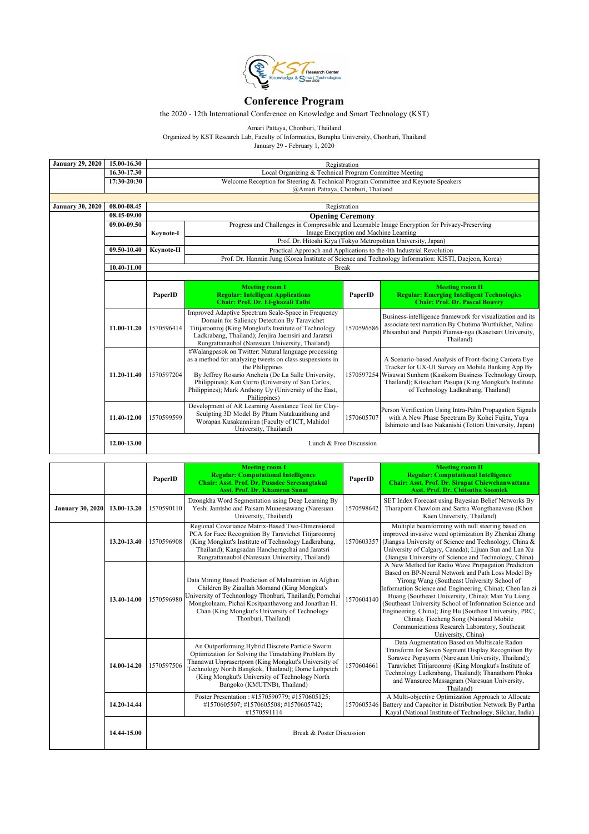

## **Conference Program**

the 2020 - 12th International Conference on Knowledge and Smart Technology (KST)

Amari Pattaya, Chonburi, Thailand

Organized by KST Research Lab, Faculty of Informatics, Burapha University, Chonburi, Thailand

January 29 - February 1, 2020

| <b>January 29, 2020</b> | 15.00-16.30               |                                             | Registration                                                                                                         |                                                                                                                     |                                                                                                                                                                        |  |  |
|-------------------------|---------------------------|---------------------------------------------|----------------------------------------------------------------------------------------------------------------------|---------------------------------------------------------------------------------------------------------------------|------------------------------------------------------------------------------------------------------------------------------------------------------------------------|--|--|
|                         | 16.30-17.30               |                                             | Local Organizing & Technical Program Committee Meeting                                                               |                                                                                                                     |                                                                                                                                                                        |  |  |
|                         | 17:30-20:30               |                                             | Welcome Reception for Steering & Technical Program Committee and Keynote Speakers                                    |                                                                                                                     |                                                                                                                                                                        |  |  |
|                         |                           |                                             | @Amari Pattaya, Chonburi, Thailand                                                                                   |                                                                                                                     |                                                                                                                                                                        |  |  |
|                         |                           |                                             |                                                                                                                      |                                                                                                                     |                                                                                                                                                                        |  |  |
| <b>January 30, 2020</b> | 08.00-08.45               |                                             |                                                                                                                      | Registration                                                                                                        |                                                                                                                                                                        |  |  |
|                         | 08.45-09.00               |                                             | <b>Opening Ceremony</b>                                                                                              |                                                                                                                     |                                                                                                                                                                        |  |  |
|                         | 09.00-09.50               |                                             | Progress and Challenges in Compressible and Learnable Image Encryption for Privacy-Preserving                        |                                                                                                                     |                                                                                                                                                                        |  |  |
|                         |                           | Keynote-I                                   | Image Encryption and Machine Learning<br>Prof. Dr. Hitoshi Kiya (Tokyo Metropolitan University, Japan)               |                                                                                                                     |                                                                                                                                                                        |  |  |
|                         | 09.50-10.40               | Keynote-II                                  |                                                                                                                      |                                                                                                                     |                                                                                                                                                                        |  |  |
|                         |                           |                                             |                                                                                                                      |                                                                                                                     | Practical Approach and Applications to the 4th Industrial Revolution                                                                                                   |  |  |
|                         | 10.40-11.00               |                                             | Prof. Dr. Hanmin Jung (Korea Institute of Science and Technology Information: KISTI, Daejeon, Korea)<br><b>Break</b> |                                                                                                                     |                                                                                                                                                                        |  |  |
|                         |                           |                                             |                                                                                                                      |                                                                                                                     |                                                                                                                                                                        |  |  |
|                         |                           |                                             |                                                                                                                      |                                                                                                                     |                                                                                                                                                                        |  |  |
|                         |                           | PaperID                                     | <b>Meeting room I</b><br><b>Regular: Intelligent Applications</b>                                                    | PaperID                                                                                                             | <b>Meeting room II</b><br><b>Regular: Emerging Intelligent Technologies</b>                                                                                            |  |  |
|                         |                           |                                             | Chair: Prof. Dr. El-ghazali Talbi                                                                                    |                                                                                                                     | <b>Chair: Prof. Dr. Pascal Bouvry</b>                                                                                                                                  |  |  |
|                         |                           |                                             | Improved Adaptive Spectrum Scale-Space in Frequency                                                                  |                                                                                                                     |                                                                                                                                                                        |  |  |
|                         |                           | Domain for Saliency Detection By Taravichet |                                                                                                                      | Business-intelligence framework for visualization and its<br>associate text narration By Chutima Wutthikhet, Nalina |                                                                                                                                                                        |  |  |
|                         | 11.00-11.20               | 1570596414                                  | Titijaroonroj (King Mongkut's Institute of Technology                                                                | 1570596586                                                                                                          | Phisanbut and Punpiti Piamsa-nga (Kasetsart University,                                                                                                                |  |  |
|                         |                           |                                             | Ladkrabang, Thailand); Jenjira Jaemsiri and Jaratsri<br>Rungrattanaubol (Naresuan University, Thailand)              |                                                                                                                     | Thailand)                                                                                                                                                              |  |  |
|                         |                           |                                             | #Walangpasok on Twitter: Natural language processing                                                                 |                                                                                                                     |                                                                                                                                                                        |  |  |
|                         |                           |                                             | as a method for analyzing tweets on class suspensions in                                                             |                                                                                                                     | A Scenario-based Analysis of Front-facing Camera Eye                                                                                                                   |  |  |
|                         |                           |                                             | the Philippines                                                                                                      |                                                                                                                     | Tracker for UX-UI Survey on Mobile Banking App By                                                                                                                      |  |  |
|                         | 11.20-11.40               | 1570597204                                  | By Jeffrey Rosario Ancheta (De La Salle University,                                                                  |                                                                                                                     | 1570597254 Wisuwat Sunhem (Kasikorn Business Technology Group,                                                                                                         |  |  |
|                         |                           |                                             | Philippines); Ken Gorro (University of San Carlos,                                                                   |                                                                                                                     | Thailand); Kitsuchart Pasupa (King Mongkut's Institute                                                                                                                 |  |  |
|                         |                           |                                             | Philippines); Mark Anthony Uy (University of the East,<br>Philippines)                                               |                                                                                                                     | of Technology Ladkrabang, Thailand)                                                                                                                                    |  |  |
|                         | 1570599599<br>11.40-12.00 |                                             | Development of AR Learning Assistance Tool for Clay-                                                                 |                                                                                                                     |                                                                                                                                                                        |  |  |
|                         |                           |                                             | Sculpting 3D Model By Phum Natakuaithung and                                                                         | 1570605707                                                                                                          | Person Verification Using Intra-Palm Propagation Signals<br>with A New Phase Spectrum By Kohei Fujita, Yuya<br>Ishimoto and Isao Nakanishi (Tottori University, Japan) |  |  |
|                         |                           |                                             | Worapan Kusakunniran (Faculty of ICT, Mahidol                                                                        |                                                                                                                     |                                                                                                                                                                        |  |  |
|                         |                           |                                             | University, Thailand)                                                                                                |                                                                                                                     |                                                                                                                                                                        |  |  |
|                         | 12.00-13.00               | Lunch & Free Discussion                     |                                                                                                                      |                                                                                                                     |                                                                                                                                                                        |  |  |

|                         |             | PaperID    | <b>Meeting room I</b><br><b>Regular: Computational Intelligence</b><br>Chair: Asst. Prof. Dr. Pusadee Seresangtakul<br><b>Asst. Prof. Dr. Khamron Sunat</b>                                                                                                                                           | PaperID    | <b>Meeting room II</b><br><b>Regular: Computational Intelligence</b><br>Chair: Asst. Prof. Dr. Sirapat Chiewchanwattana<br><b>Asst. Prof. Dr. Chitsutha Soomlek</b>                                                                                                                                                                                                                                                                                                                                            |
|-------------------------|-------------|------------|-------------------------------------------------------------------------------------------------------------------------------------------------------------------------------------------------------------------------------------------------------------------------------------------------------|------------|----------------------------------------------------------------------------------------------------------------------------------------------------------------------------------------------------------------------------------------------------------------------------------------------------------------------------------------------------------------------------------------------------------------------------------------------------------------------------------------------------------------|
| <b>January 30, 2020</b> | 13.00-13.20 | 1570590110 | Dzongkha Word Segmentation using Deep Learning By<br>Yeshi Jamtsho and Paisarn Muneesawang (Naresuan<br>University, Thailand)                                                                                                                                                                         | 1570598642 | SET Index Forecast using Bayesian Belief Networks By<br>Tharaporn Chawlom and Sartra Wongthanavasu (Khon<br>Kaen University, Thailand)                                                                                                                                                                                                                                                                                                                                                                         |
|                         | 13.20-13.40 | 1570596908 | Regional Covariance Matrix-Based Two-Dimensional<br>PCA for Face Recognition By Taravichet Titijaroonroj<br>(King Mongkut's Institute of Technology Ladkrabang,<br>Thailand); Kangsadan Hancherngchai and Jaratsri<br>Rungrattanaubol (Naresuan University, Thailand)                                 | 1570603357 | Multiple beamforming with null steering based on<br>improved invasive weed optimization By Zhenkai Zhang<br>(Jiangsu University of Science and Technology, China &<br>University of Calgary, Canada); Lijuan Sun and Lan Xu<br>(Jiangsu University of Science and Technology, China)                                                                                                                                                                                                                           |
|                         | 13.40-14.00 | 1570596980 | Data Mining Based Prediction of Malnutrition in Afghan<br>Children By Ziaullah Momand (King Mongkut's<br>University of Technonlogy Thonburi, Thailand); Pornchai<br>Mongkolnam, Pichai Kositpanthavong and Jonathan H.<br>Chan (King Mongkut's University of Technology<br>Thonburi, Thailand)        | 1570604140 | A New Method for Radio Wave Propagation Prediction<br>Based on BP-Neural Network and Path Loss Model By<br>Yirong Wang (Southeast University School of<br>Information Science and Engineering, China); Chen lan zi<br>Huang (Southeast University, China); Man Yu Liang<br>(Southeast University School of Information Science and<br>Engineering, China); Jing Hu (Southest University, PRC,<br>China); Tiecheng Song (National Mobile<br>Communications Research Laboratory, Southeast<br>University, China) |
|                         | 14.00-14.20 | 1570597506 | An Outperforming Hybrid Discrete Particle Swarm<br>Optimization for Solving the Timetabling Problem By<br>Thanawat Unprasertporn (King Mongkut's University of<br>Technology North Bangkok, Thailand); Dome Lohpetch<br>(King Mongkut's University of Technology North<br>Bangoko (KMUTNB), Thailand) | 1570604661 | Data Augmentation Based on Multiscale Radon<br>Transform for Seven Segment Display Recognition By<br>Sorawee Popayorm (Naresuan University, Thailand);<br>Taravichet Titijaroonroj (King Mongkut's Institute of<br>Technology Ladkrabang, Thailand); Thanathorn Phoka<br>and Wansuree Massagram (Naresuan University,<br>Thailand)                                                                                                                                                                             |
|                         | 14.20-14.44 |            | Poster Presentation: #1570590779; #1570605125;<br>#1570605507; #1570605508; #1570605742;<br>#1570591114                                                                                                                                                                                               | 1570605346 | A Multi-objective Optimization Approach to Allocate<br>Battery and Capacitor in Distribution Network By Partha<br>Kayal (National Institute of Technology, Silchar, India)                                                                                                                                                                                                                                                                                                                                     |
|                         | 14.44-15.00 |            | Break & Poster Discussion                                                                                                                                                                                                                                                                             |            |                                                                                                                                                                                                                                                                                                                                                                                                                                                                                                                |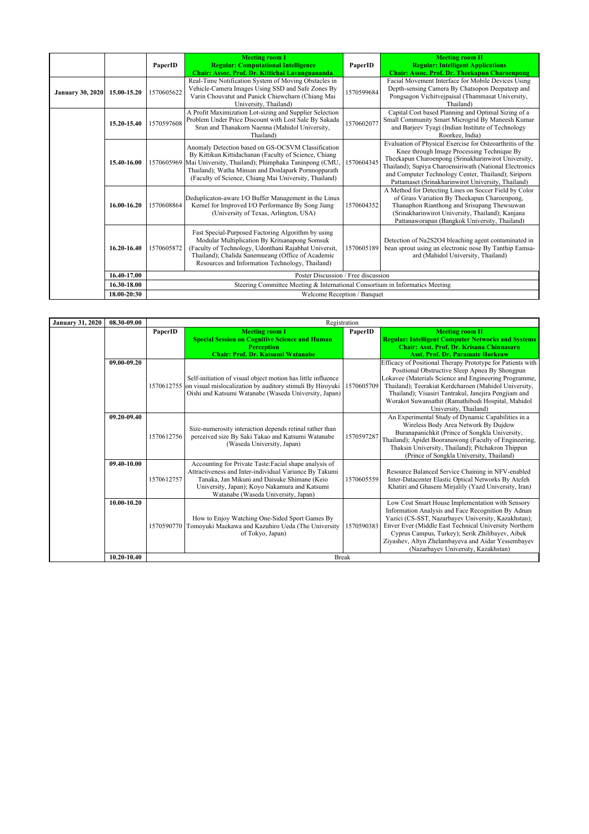|                         |             | PaperID                                                                      | <b>Meeting room I</b><br><b>Regular: Computational Intelligence</b><br>Chair: Assoc. Prof. Dr. Kittichai Lavangnananda                                                                                                                                                                           | PaperID    | <b>Meeting room II</b><br><b>Regular: Intelligent Applications</b><br><b>Chair: Assoc. Prof. Dr. Theekapun Charoenpong</b>                                                                                                                                                                                                             |
|-------------------------|-------------|------------------------------------------------------------------------------|--------------------------------------------------------------------------------------------------------------------------------------------------------------------------------------------------------------------------------------------------------------------------------------------------|------------|----------------------------------------------------------------------------------------------------------------------------------------------------------------------------------------------------------------------------------------------------------------------------------------------------------------------------------------|
| <b>January 30, 2020</b> | 15.00-15.20 | 1570605622                                                                   | Real-Time Notification System of Moving Obstacles in<br>Vehicle-Camera Images Using SSD and Safe Zones By<br>Varin Chouvatut and Panick Chiewcharn (Chiang Mai<br>University, Thailand)                                                                                                          | 1570599684 | Facial Movement Interface for Mobile Devices Using<br>Depth-sensing Camera By Chatsopon Deepateep and<br>Pongsagon Vichitvejpaisal (Thammasat University,<br>Thailand)                                                                                                                                                                 |
|                         | 15.20-15.40 | 1570597608                                                                   | A Profit Maximization Lot-sizing and Supplier Selection<br>Problem Under Price Discount with Lost Sale By Sakada<br>Srun and Thanakorn Naenna (Mahidol University,<br>Thailand)                                                                                                                  | 1570602077 | Capital Cost based Planning and Optimal Sizing of a<br>Small Community Smart Microgrid By Maneesh Kumar<br>and Barjeev Tyagi (Indian Institute of Technology<br>Roorkee, India)                                                                                                                                                        |
|                         | 15.40-16.00 |                                                                              | Anomaly Detection based on GS-OCSVM Classification<br>By Kittikun Kittidachanan (Faculty of Science, Chiang<br>1570605969 Mai University, Thailand); Phimphaka Taninpong (CMU,  <br>Thailand); Watha Minsan and Donlapark Pornnopparath<br>(Faculty of Science, Chiang Mai University, Thailand) | 1570604345 | Evaluation of Physical Exercise for Osteoarthritis of the<br>Knee through Image Processing Technique By<br>Theekapun Charoenpong (Srinakharinwirot University,<br>Thailand); Supiya Charoensiriwath (National Electronics<br>and Computer Technology Center, Thailand); Siriporn<br>Pattamaset (Srinakharinwirot University, Thailand) |
|                         | 16.00-16.20 | 1570608864                                                                   | Deduplicaton-aware I/O Buffer Management in the Linux<br>Kernel for Improved I/O Performance By Song Jiang<br>(University of Texas, Arlington, USA)                                                                                                                                              | 1570604352 | A Method for Detecting Lines on Soccer Field by Color<br>of Grass Variation By Theekapun Charoenpong,<br>Thanaphon Rianthong and Srisupang Thewsuwan<br>(Srinakharinwirot University, Thailand); Kanjana<br>Pattanaworapan (Bangkok University, Thailand)                                                                              |
|                         | 16.20-16.40 | 1570605872                                                                   | Fast Special-Purposed Factoring Algorithm by using<br>Modular Multiplication By Kritsanapong Somsuk<br>(Faculty of Technology, Udonthani Rajabhat Universit,<br>Thailand); Chalida Sanemueang (Office of Academic<br>Resources and Information Technology, Thailand)                             | 1570605189 | Detection of Na2S2O4 bleaching agent contaminated in<br>bean sprout using an electronic nose By Tanthip Eamsa-<br>ard (Mahidol University, Thailand)                                                                                                                                                                                   |
|                         | 16.40-17.00 | Poster Discussion / Free discussion                                          |                                                                                                                                                                                                                                                                                                  |            |                                                                                                                                                                                                                                                                                                                                        |
|                         | 16.30-18.00 | Steering Committee Meeting & International Consortium in Informatics Meeting |                                                                                                                                                                                                                                                                                                  |            |                                                                                                                                                                                                                                                                                                                                        |
|                         | 18.00-20:30 | Welcome Reception / Banquet                                                  |                                                                                                                                                                                                                                                                                                  |            |                                                                                                                                                                                                                                                                                                                                        |

| <b>January 31, 2020</b> | 08.30-09.00 |            | Registration                                                                                                                                                                                                                                             |            |                                                                                                                                                                                                                                                                                                                                                                        |
|-------------------------|-------------|------------|----------------------------------------------------------------------------------------------------------------------------------------------------------------------------------------------------------------------------------------------------------|------------|------------------------------------------------------------------------------------------------------------------------------------------------------------------------------------------------------------------------------------------------------------------------------------------------------------------------------------------------------------------------|
|                         |             | PaperID    | <b>Meeting room I</b>                                                                                                                                                                                                                                    | PaperID    | <b>Meeting room II</b>                                                                                                                                                                                                                                                                                                                                                 |
|                         |             |            | <b>Special Session on Cognitive Science and Human</b><br><b>Perception</b><br><b>Chair: Prof. Dr. Katsumi Watanabe</b>                                                                                                                                   |            | <b>Regular: Intelligent Computer Networks and Systems</b><br>Chair: Asst. Prof. Dr. Krisana Chinnasarn<br><b>Asst. Prof. Dr. Paramate Horkeaw</b>                                                                                                                                                                                                                      |
|                         | 09.00-09.20 | 1570612755 | Self-initiation of visual object motion has little influence<br>on visual mislocalization by auditory stimuli By Hiroyuki<br>Oishi and Katsumi Watanabe (Waseda University, Japan)                                                                       | 1570605709 | Efficacy of Positional Therapy Prototype for Patients with<br>Positional Obstructive Sleep Apnea By Shongpun<br>Lokavee (Materials Science and Engineering Programme,<br>Thailand); Teerakiat Kerdcharoen (Mahidol University,<br>Thailand); Visasiri Tantrakul, Janejira Pengjiam and<br>Worakot Suwansathit (Ramathibodi Hospital, Mahidol<br>University, Thailand)  |
|                         | 09.20-09.40 | 1570612756 | Size-numerosity interaction depends retinal rather than<br>perceived size By Saki Takao and Katsumi Watanabe<br>(Waseda University, Japan)                                                                                                               | 1570597287 | An Experimental Study of Dynamic Capabilities in a<br>Wireless Body Area Network By Dujdow<br>Buranapanichkit (Prince of Songkla University,<br>Thailand); Apidet Booranawong (Faculty of Engineering,<br>Thaksin University, Thailand); Pitchakron Thippun<br>(Prince of Songkla University, Thailand)                                                                |
|                         | 09.40-10.00 | 1570612757 | Accounting for Private Taste: Facial shape analysis of<br>Attractiveness and Inter-individual Variance By Takumi<br>Tanaka, Jan Mikuni and Daisuke Shimane (Keio<br>University, Japan); Koyo Nakamura and Katsumi<br>Watanabe (Waseda University, Japan) | 1570605559 | Resource Balanced Service Chaining in NFV-enabled<br>Inter-Datacenter Elastic Optical Networks By Atefeh<br>Khatiri and Ghasem Mirjalily (Yazd University, Iran)                                                                                                                                                                                                       |
|                         | 10.00-10.20 | 1570590770 | How to Enjoy Watching One-Sided Sport Games By<br>Tomoyuki Maekawa and Kazuhiro Ueda (The University<br>of Tokyo, Japan)                                                                                                                                 | 1570590383 | Low Cost Smart House Implementation with Sensory<br>Information Analysis and Face Recognition By Adnan<br>Yazici (CS-SST, Nazarbayev University, Kazakhstan);<br>Enver Ever (Middle East Technical University Northern<br>Cyprus Campus, Turkey); Serik Zhilibayev, Aibek<br>Ziyashev, Altyn Zhelambayeva and Aidar Yessembayev<br>(Nazarbayev University, Kazakhstan) |
|                         | 10.20-10.40 |            | <b>Break</b>                                                                                                                                                                                                                                             |            |                                                                                                                                                                                                                                                                                                                                                                        |